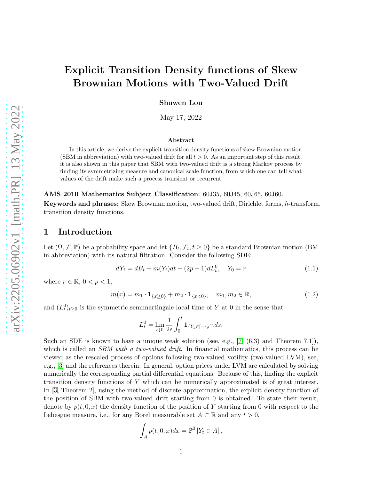# Explicit Transition Density functions of Skew Brownian Motions with Two-Valued Drift

Shuwen Lou

May 17, 2022

#### Abstract

In this article, we derive the explicit transition density functions of skew Brownian motion (SBM in abbreviation) with two-valued drift for all  $t > 0$ . As an important step of this result, it is also shown in this paper that SBM with two-valued drift is a strong Markov process by finding its symmetrizing measure and canonical scale function, from which one can tell what values of the drift make such a process transient or recurrent.

AMS 2010 Mathematics Subject Classification: 60J35, 60J45, 60J65, 60J60.

Keywords and phrases: Skew Brownian motion, two-valued drift, Dirichlet forms, h-transform, transition density functions.

### 1 Introduction

Let  $(\Omega, \mathcal{F}, \mathbb{P})$  be a probability space and let  $\{B_t, \mathcal{F}_t, t \geq 0\}$  be a standard Brownian motion (BM in abbreviation) with its natural filtration. Consider the following SDE:

<span id="page-0-0"></span>
$$
dY_t = dB_t + m(Y_t)dt + (2p - 1)dL_t^0, \quad Y_0 = r \tag{1.1}
$$

where  $r \in \mathbb{R}$ ,  $0 < p < 1$ ,

<span id="page-0-1"></span>
$$
m(x) = m_1 \cdot \mathbf{1}_{\{x \ge 0\}} + m_2 \cdot \mathbf{1}_{\{x < 0\}}, \quad m_1, m_2 \in \mathbb{R}, \tag{1.2}
$$

and  $(L_t^0)_{t\geq 0}$  is the symmetric semimartingale local time of Y at 0 in the sense that

$$
L_t^0 = \lim_{\epsilon \downarrow 0} \frac{1}{2\epsilon} \int_0^t \mathbf{1}_{\{Y_s \in [-\epsilon, \epsilon]\}} ds.
$$

Such an SDE is known to have a unique weak solution (see, e.g.,  $[7, (6.3)$  $[7, (6.3)$  and Theorem 7.1]), which is called an *SBM with a two-valued drift*. In financial mathematics, this process can be viewed as the rescaled process of options following two-valued votility (two-valued LVM), see, e.g., [\[3\]](#page-7-1) and the references therein. In general, option prices under LVM are calculated by solving numerically the corresponding partial differential equations. Because of this, finding the explicit transition density functions of Y which can be numerically approximated is of great interest. In [\[3,](#page-7-1) Theorem 2], using the method of discrete approximation, the explicit density function of the position of SBM with two-valued drift starting from 0 is obtained. To state their result, denote by  $p(t, 0, x)$  the density function of the position of Y starting from 0 with respect to the Lebesgue measure, i.e., for any Borel measurable set  $A \subset \mathbb{R}$  and any  $t > 0$ ,

$$
\int_A p(t,0,x)dx = \mathbb{P}^0 \left[ Y_t \in A \right],
$$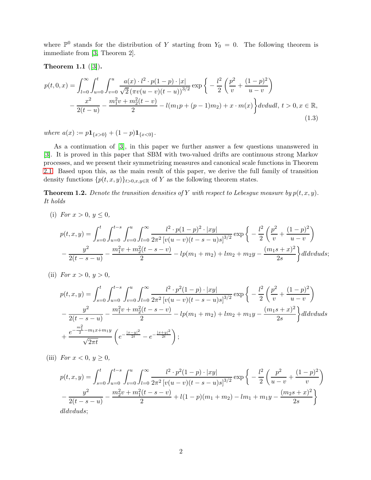where  $\mathbb{P}^0$  stands for the distribution of Y starting from  $Y_0 = 0$ . The following theorem is immediate from [\[3,](#page-7-1) Theorem 2].

### <span id="page-1-0"></span>Theorem 1.1  $([3])$  $([3])$  $([3])$ .

$$
p(t,0,x) = \int_{l=0}^{\infty} \int_{u=0}^{t} \int_{v=0}^{u} \frac{a(x) \cdot l^{2} \cdot p(1-p) \cdot |x|}{\sqrt{2} (\pi v(u-v)(t-u))^{3/2}} \exp\left\{-\frac{l^{2}}{2} \left(\frac{p^{2}}{v} + \frac{(1-p)^{2}}{u-v}\right) -\frac{x^{2}}{2(t-u)} - \frac{m_{1}^{2}v + m_{2}^{2}(t-v)}{2} - l(m_{1}p + (p-1)m_{2}) + x \cdot m(x)\right\} dv du dl, t > 0, x \in \mathbb{R},
$$
\n(1.3)

<span id="page-1-2"></span>where  $a(x) := p\mathbf{1}_{\{x>0\}} + (1-p)\mathbf{1}_{\{x<0\}}$ .

As a continuation of [\[3\]](#page-7-1), in this paper we further answer a few questions unanswered in [\[3\]](#page-7-1). It is proved in this paper that SBM with two-valued drifts are continuous strong Markov processes, and we present their symmetrizing measures and canonical scale functions in Theorem [2.1.](#page-2-0) Based upon this, as the main result of this paper, we derive the full family of transition density functions  $\{p(t, x, y)\}_{t>0, x, y\in \mathbb{R}}$  of Y as the following theorem states.

<span id="page-1-1"></span>**Theorem 1.2.** Denote the transition densities of Y with respect to Lebesgue measure by  $p(t, x, y)$ . It holds

(i) For  $x > 0, y \le 0$ ,

$$
p(t, x, y) = \int_{s=0}^{t} \int_{u=0}^{t-s} \int_{v=0}^{u} \int_{l=0}^{\infty} \frac{l^2 \cdot p(1-p)^2 \cdot |xy|}{2\pi^2 \left[v(u-v)(t-s-u)s\right]^{3/2}} \exp\left\{-\frac{l^2}{2}\left(\frac{p^2}{v} + \frac{(1-p)^2}{u-v}\right) - \frac{y^2}{2(t-s-u)} - \frac{m_1^2v + m_2^2(t-s-v)}{2} - lp(m_1+m_2) + lm_2 + m_2y - \frac{(m_1s+x)^2}{2s}\right\} dl dv du ds;
$$

(ii) For  $x > 0, y > 0$ ,

$$
p(t,x,y) = \int_{s=0}^{t} \int_{u=0}^{t-s} \int_{v=0}^{u} \int_{l=0}^{\infty} \frac{l^2 \cdot p^2 (1-p) \cdot |xy|}{2\pi^2 [v(u-v)(t-s-u)s]^{3/2}} \exp\left\{-\frac{l^2}{2} \left(\frac{p^2}{v} + \frac{(1-p)^2}{u-v}\right) - \frac{y^2}{2(t-s-u)} - \frac{m_1^2 v + m_2^2 (t-s-v)}{2} - lp(m_1 + m_2) + lm_2 + m_1 y - \frac{(m_1 s + x)^2}{2s}\right\} dl dv du ds + \frac{e^{-\frac{m_1^2}{2} - m_1 x + m_1 y}}{\sqrt{2\pi t}} \left(e^{-\frac{|x-y|^2}{2t}} - e^{-\frac{|x+y|^2}{2t}}\right);
$$

(iii) For  $x < 0, y \ge 0$ ,

$$
p(t,x,y) = \int_{s=0}^{t} \int_{u=0}^{t-s} \int_{v=0}^{u} \int_{l=0}^{\infty} \frac{l^2 \cdot p^2 (1-p) \cdot |xy|}{2\pi^2 [v(u-v)(t-s-u)s]^{3/2}} \exp\left\{-\frac{l^2}{2} \left(\frac{p^2}{u-v} + \frac{(1-p)^2}{v}\right) - \frac{y^2}{2(t-s-u)} - \frac{m_2^2 v + m_1^2 (t-s-v)}{2} + l(1-p)(m_1 + m_2) - lm_1 + m_1 y - \frac{(m_2 s + x)^2}{2s}\right\}
$$
  
dldvduds:

dldvduds;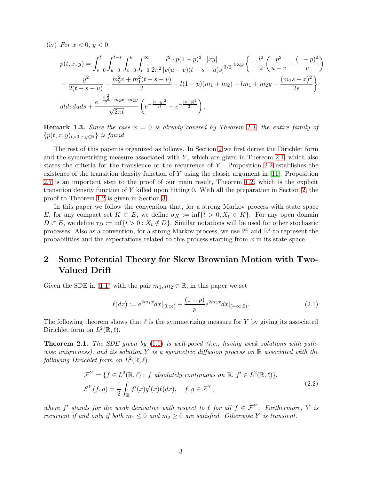(iv) For  $x < 0, y < 0$ ,

$$
p(t,x,y) = \int_{s=0}^{t} \int_{u=0}^{t-s} \int_{v=0}^{u} \int_{l=0}^{\infty} \frac{l^2 \cdot p(1-p)^2 \cdot |xy|}{2\pi^2 [v(u-v)(t-s-u)s]^{3/2}} \exp\left\{-\frac{l^2}{2} \left(\frac{p^2}{u-v} + \frac{(1-p)^2}{v}\right) - \frac{y^2}{2(t-s-u)} - \frac{m_2^2v + m_1^2(t-s-v)}{2} + l(1-p)(m_1+m_2) - lm_1 + m_2y - \frac{(m_2s+x)^2}{2s}\right\}
$$
  

$$
dldvduds + \frac{e^{-\frac{m_2^2}{2} - m_2x + m_2y}}{\sqrt{2\pi t}} \left(e^{-\frac{|x-y|^2}{2t}} - e^{-\frac{|x+y|^2}{2t}}\right).
$$

**Remark 1.3.** Since the case  $x = 0$  is already covered by Theorem [1.1,](#page-1-0) the entire family of  ${p(t, x, y)_{t>0, x, y \in \mathbb{R}}}$  is found.

The rest of this paper is organized as follows. In Section [2](#page-2-1) we first derive the Dirichlet form and the symmetrizing measure associated with  $Y$ , which are given in Thereom [2.1,](#page-2-0) which also states the criteria for the transience or the recurrence of Y . Proposition [2.2](#page-4-0) establishes the existence of the transition density function of Y using the classic argument in [\[11\]](#page-7-2). Proposition [2.7](#page-4-1) is an important step to the proof of our main result, Theorem [1.2,](#page-1-1) which is the explicit transition density function of Y killed upon hitting 0. With all the preparation in Section [2,](#page-2-1) the proof to Theorem [1.2](#page-1-1) is given in Section [3.](#page-5-0)

In this paper we follow the convention that, for a strong Markov process with state space E, for any compact set  $K \subset E$ , we define  $\sigma_K := \inf\{t > 0, X_t \in K\}$ . For any open domain  $D \subset E$ , we define  $\tau_D := \inf\{t > 0 : X_t \notin D\}$ . Similar notations will be used for other stochastic processes. Also as a convention, for a strong Markov process, we use  $\mathbb{P}^x$  and  $\mathbb{E}^x$  to represent the probabilities and the expectations related to this process starting from  $x$  in its state space.

# <span id="page-2-1"></span>2 Some Potential Theory for Skew Brownian Motion with Two-Valued Drift

Given the SDE in [\(1.1\)](#page-0-0) with the pair  $m_1, m_2 \in \mathbb{R}$ , in this paper we set

$$
\ell(dx) := e^{2m_1 x} dx|_{[0,\infty)} + \frac{(1-p)}{p} e^{2m_2 x} dx|_{(-\infty,0)}.
$$
\n(2.1)

The following theorem shows that  $\ell$  is the symmetrizing measure for Y by giving its associated Dirichlet form on  $L^2(\mathbb{R}, \ell)$ .

<span id="page-2-0"></span>**Theorem 2.1.** The SDE given by  $(1.1)$  is well-posed *(i.e., having weak solutions with path*wise uniqueness), and its solution Y is a symmetric diffusion process on  $\mathbb R$  associated with the following Dirichlet form on  $L^2(\mathbb{R}, \ell)$ :

<span id="page-2-2"></span>
$$
\mathcal{F}^Y = \{ f \in L^2(\mathbb{R}, \ell) : f \text{ absolutely continuous on } \mathbb{R}, f' \in L^2(\mathbb{R}, \ell) \},
$$
  

$$
\mathcal{E}^Y(f, g) = \frac{1}{2} \int_{\mathbb{R}} f'(x)g'(x)\ell(dx), \quad f, g \in \mathcal{F}^Y,
$$
 (2.2)

where f' stands for the weak derivative with respect to  $\ell$  for all  $f \in \mathcal{F}^Y$ . Furthermore, Y is recurrent if and only if both  $m_1 \leq 0$  and  $m_2 \geq 0$  are satisfied. Otherwise Y is transient.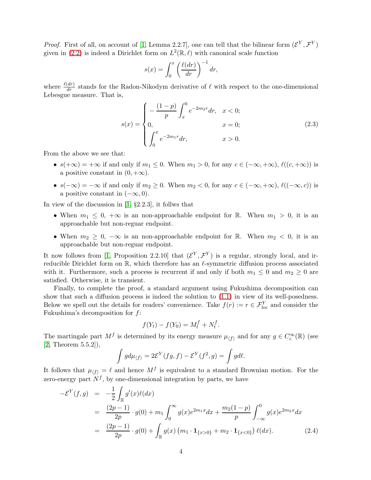*Proof.* First of all, on account of [\[1,](#page-6-0) Lemma 2.2.7], one can tell that the bilinear form  $(\mathcal{E}^Y, \mathcal{F}^Y)$ given in [\(2.2\)](#page-2-2) is indeed a Dirichlet form on  $L^2(\mathbb{R}, \ell)$  with canonical scale function

$$
s(x) = \int_0^x \left(\frac{\ell(dr)}{dr}\right)^{-1} dr,
$$

where  $\frac{\ell(dr)}{dr}$  stands for the Radon-Nikodym derivative of  $\ell$  with respect to the one-dimensional Lebesgue measure. That is,

$$
s(x) = \begin{cases} -\frac{(1-p)}{p} \int_x^0 e^{-2m_2 r} dr, & x < 0; \\ 0, & x = 0; \\ \int_0^x e^{-2m_1 r} dr, & x > 0. \end{cases}
$$
(2.3)

From the above we see that:

- $s(+\infty) = +\infty$  if and only if  $m_1 \leq 0$ . When  $m_1 > 0$ , for any  $c \in (-\infty, +\infty)$ ,  $\ell((c, +\infty))$  is a positive constant in  $(0, +\infty)$ .
- $s(-\infty) = -\infty$  if and only if  $m_2 \geq 0$ . When  $m_2 < 0$ , for any  $c \in (-\infty, +\infty)$ ,  $\ell((-\infty, c))$  is a positive constant in  $(-\infty, 0)$ .

In view of the discussion in [\[1,](#page-6-0) §2.2.3], it follws that

- When  $m_1 \leq 0, +\infty$  is an non-approachable endpoint for R. When  $m_1 > 0$ , it is an approachable but non-reguar endpoint.
- When  $m_2 \geq 0$ ,  $-\infty$  is an non-approachable endpoint for R. When  $m_2 < 0$ , it is an approachable but non-reguar endpoint.

It now follows from [\[1,](#page-6-0) Proposition 2.2.10] that  $(\mathcal{E}^Y, \mathcal{F}^Y)$  is a regular, strongly local, and irreducible Dirichlet form on  $\mathbb{R}$ , which therefore has an  $\ell$ -symmetric diffusion process associated with it. Furthermore, such a process is recurrent if and only if both  $m_1 \leq 0$  and  $m_2 \geq 0$  are satisfied. Otherwise, it is transient.

Finally, to complete the proof, a standard argument using Fukushima decomposition can show that such a diffusion process is indeed the solution to [\(1.1\)](#page-0-0) in view of its well-posedness. Below we spell out the details for readers' convenience. Take  $f(r) := r \in \mathcal{F}_{loc}^Y$  and consider the Fukushima's decomposition for  $f$ :

$$
f(Y_t) - f(Y_0) = M_t^f + N_t^f.
$$

The martingale part  $M^f$  is determined by its energy measure  $\mu_{\langle f \rangle}$  and for any  $g \in C_c^{\infty}(\mathbb{R})$  (see [\[2,](#page-6-1) Theorem 5.5.2]),

$$
\int g d\mu_{\langle f \rangle} = 2\mathcal{E}^Y(fg, f) - \mathcal{E}^Y(f^2, g) = \int g d\ell.
$$

It follows that  $\mu_{\langle f \rangle} = \ell$  and hence  $M^f$  is equivalent to a standard Brownian motion. For the zero-energy part  $N^f$ , by one-dimensional integration by parts, we have

$$
-\mathcal{E}^{Y}(f,g) = -\frac{1}{2} \int_{\mathbb{R}} g'(x)\ell(dx)
$$
  
\n
$$
= \frac{(2p-1)}{2p} \cdot g(0) + m_{1} \int_{0}^{\infty} g(x)e^{2m_{1}x} dx + \frac{m_{2}(1-p)}{p} \int_{-\infty}^{0} g(x)e^{2m_{2}x} dx
$$
  
\n
$$
= \frac{(2p-1)}{2p} \cdot g(0) + \int_{\mathbb{R}} g(x)\left(m_{1} \cdot \mathbf{1}_{\{x>0\}} + m_{2} \cdot \mathbf{1}_{\{x<0\}}\right) \ell(dx). \tag{2.4}
$$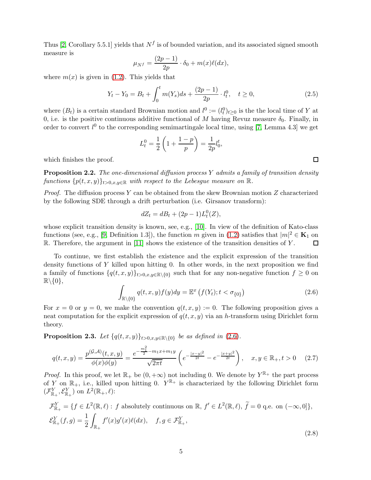Thus [\[2,](#page-6-1) Corollary 5.5.1] yields that  $N^f$  is of bounded variation, and its associated signed smooth measure is

$$
\mu_{N^f} = \frac{(2p-1)}{2p} \cdot \delta_0 + m(x)\ell(dx),
$$

where  $m(x)$  is given in [\(1.2\)](#page-0-1). This yields that

$$
Y_t - Y_0 = B_t + \int_0^t m(Y_s)ds + \frac{(2p-1)}{2p} \cdot l_t^0, \quad t \ge 0,
$$
\n(2.5)

where  $(B_t)$  is a certain standard Brownian motion and  $l^0 := (l_t^0)_{t \geq 0}$  is the the local time of Y at 0, i.e. is the positive continuous additive functional of M having Revuz measure  $\delta_0$ . Finally, in order to convert  $l^0$  to the corresponding semimartingale local time, using [\[7,](#page-7-0) Lemma 4.3] we get

$$
L_t^0 = \frac{1}{2} \left( 1 + \frac{1-p}{p} \right) = \frac{1}{2p} l_0^t,
$$

which finishes the proof.

<span id="page-4-0"></span>**Proposition 2.2.** The one-dimensional diffusion process Y admits a family of transition density functions  $\{p(t, x, y)\}_{t>0, x, y\in\mathbb{R}}$  with respect to the Lebesgue measure on  $\mathbb{R}$ .

*Proof.* The diffusion process Y can be obtained from the skew Brownian motion Z characterized by the following SDE through a drift perturbation (i.e. Girsanov transform):

$$
dZ_t = dB_t + (2p - 1)L_t^0(Z),
$$

whose explicit transition density is known, see, e.g., [\[10\]](#page-7-3). In view of the definition of Kato-class functions (see, e.g., [\[9,](#page-7-4) Definition 1.3]), the function m given in [\(1.2\)](#page-0-1) satisfies that  $|m|^2 \in \mathbf{K}_1$  on  $\mathbb{R}$ . Therefore, the argument in [\[11\]](#page-7-2) shows the existence of the transition densities of Y.

To continue, we first establish the existence and the explicit expression of the transition density functions of Y killed upon hitting 0. In other words, in the next proposition we find a family of functions  $\{q(t, x, y)\}_{t>0, x, y \in \mathbb{R}\setminus\{0\}}$  such that for any non-negative function  $f \geq 0$  on  $\mathbb{R}\backslash \{0\},\$ 

<span id="page-4-2"></span>
$$
\int_{\mathbb{R}\setminus\{0\}} q(t,x,y)f(y)dy = \mathbb{E}^x \left( f(Y_t); t < \sigma_{\{0\}} \right) \tag{2.6}
$$

For  $x = 0$  or  $y = 0$ , we make the convention  $q(t, x, y) := 0$ . The following proposition gives a neat computation for the explicit expression of  $q(t, x, y)$  via an h-transform using Dirichlet form theory.

**Proposition 2.3.** Let  $\{q(t, x, y)\}_{t>0, x, y \in \mathbb{R}\setminus\{0\}}$  be as defined in [\(2.6\)](#page-4-2).

<span id="page-4-1"></span>
$$
q(t,x,y) = \frac{p^{(\mathcal{G},\mathcal{A})}(t,x,y)}{\phi(x)\phi(y)} = \frac{e^{-\frac{m_1^2}{2} - m_1 x + m_1 y}}{\sqrt{2\pi t}} \left( e^{-\frac{|x-y|^2}{2t}} - e^{-\frac{|x+y|^2}{2t}} \right), \quad x, y \in \mathbb{R}_+, t > 0 \quad (2.7)
$$

*Proof.* In this proof, we let  $\mathbb{R}_+$  be  $(0, +\infty)$  not including 0. We denote by  $Y^{\mathbb{R}_+}$  the part process of Y on  $\mathbb{R}_+$ , i.e., killed upon hitting 0.  $Y^{\mathbb{R}_+}$  is characterized by the following Dirichlet form  $(\mathcal{F}_{\mathbb{R}_+}^Y, \mathcal{E}_{\mathbb{R}_+}^Y)$  on  $L^2(\mathbb{R}_+, \ell)$ :

$$
\mathcal{F}_{\mathbb{R}_+}^Y = \{ f \in L^2(\mathbb{R}, \ell) : f \text{ absolutely continuous on } \mathbb{R}, f' \in L^2(\mathbb{R}, \ell), \tilde{f} = 0 \text{ q.e. on } (-\infty, 0] \},
$$
  

$$
\mathcal{E}_{\mathbb{R}_+}^Y(f, g) = \frac{1}{2} \int_{\mathbb{R}_+} f'(x)g'(x)\ell(dx), \quad f, g \in \mathcal{F}_{\mathbb{R}_+}^Y,
$$
\n(2.8)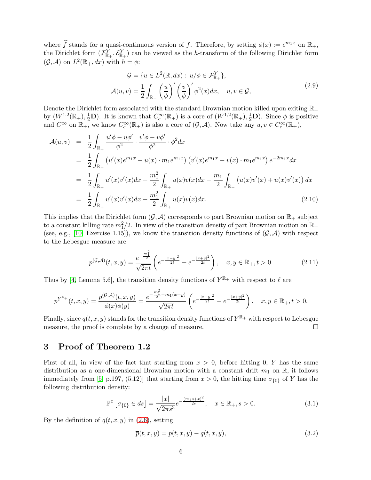where  $\tilde{f}$  stands for a quasi-continuous version of f. Therefore, by setting  $\phi(x) := e^{m_1 x}$  on  $\mathbb{R}_+$ , the Dirichlet form  $(\mathcal{F}^Y_{\mathbb{R}_+}, \mathcal{E}^Y_{\mathbb{R}_+})$  can be viewed as the h-transform of the following Dirichlet form  $(\mathcal{G}, \mathcal{A})$  on  $L^2(\mathbb{R}_+, dx)$  with  $h = \phi$ :

$$
\mathcal{G} = \{ u \in L^2(\mathbb{R}, dx) : u/\phi \in \mathcal{F}_{\mathbb{R}_+}^Y \},
$$
  

$$
\mathcal{A}(u, v) = \frac{1}{2} \int_{\mathbb{R}_+} \left( \frac{u}{\phi} \right)' \left( \frac{v}{\phi} \right)' \phi^2(x) dx, \quad u, v \in \mathcal{G},
$$
 (2.9)

Denote the Dirichlet form associated with the standard Brownian motion killed upon exiting  $\mathbb{R}_+$ by  $(W^{1,2}(\mathbb{R}_+), \frac{1}{2}\mathbf{D})$ . It is known that  $C_c^{\infty}(\mathbb{R}_+)$  is a core of  $(W^{1,2}(\mathbb{R}_+), \frac{1}{2}\mathbf{D})$ . Since  $\phi$  is positive and  $C^{\infty}$  on  $\mathbb{R}_{+}$ , we know  $C_c^{\infty}(\mathbb{R}_{+})$  is also a core of  $(\mathcal{G}, \mathcal{A})$ . Now take any  $u, v \in C_c^{\infty}(\mathbb{R}_{+})$ ,

$$
\mathcal{A}(u,v) = \frac{1}{2} \int_{\mathbb{R}_+} \frac{u' \phi - u \phi'}{\phi^2} \cdot \frac{v' \phi - v \phi'}{\phi^2} \cdot \phi^2 dx
$$
  
\n
$$
= \frac{1}{2} \int_{\mathbb{R}_+} \left( u'(x) e^{m_1 x} - u(x) \cdot m_1 e^{m_1 x} \right) \left( v'(x) e^{m_1 x} - v(x) \cdot m_1 e^{m_1 x} \right) e^{-2m_1 x} dx
$$
  
\n
$$
= \frac{1}{2} \int_{\mathbb{R}_+} u'(x) v'(x) dx + \frac{m_1^2}{2} \int_{\mathbb{R}_+} u(x) v(x) dx - \frac{m_1}{2} \int_{\mathbb{R}_+} \left( u(x) v'(x) + u(x) v'(x) \right) dx
$$
  
\n
$$
= \frac{1}{2} \int_{\mathbb{R}_+} u'(x) v'(x) dx + \frac{m_1^2}{2} \int_{\mathbb{R}_+} u(x) v(x) dx.
$$
\n(2.10)

This implies that the Dirichlet form  $(G, \mathcal{A})$  corresponds to part Brownian motion on  $\mathbb{R}_+$  subject to a constant killing rate  $m_1^2/2$ . In view of the transition density of part Brownian motion on  $\mathbb{R}_+$ (see, e.g., [\[10,](#page-7-3) Exercise 1.15]), we know the transition density functions of  $(\mathcal{G}, \mathcal{A})$  with respect to the Lebesgue measure are

$$
p^{(\mathcal{G},\mathcal{A})}(t,x,y) = \frac{e^{-\frac{m_1^2}{2}}}{\sqrt{2\pi t}} \left( e^{-\frac{|x-y|^2}{2t}} - e^{-\frac{|x+y|^2}{2t}} \right), \quad x,y \in \mathbb{R}_+, t > 0.
$$
 (2.11)

Thus by [\[4,](#page-7-5) Lemma 5.6], the transition density functions of  $Y^{\mathbb{R}_+}$  with respect to  $\ell$  are

$$
p^{Y^{\mathbb{R}_+}}(t,x,y) = \frac{p^{(\mathcal{G},\mathcal{A})}(t,x,y)}{\phi(x)\phi(y)} = \frac{e^{-\frac{m_1^2}{2} - m_1(x+y)}}{\sqrt{2\pi t}} \left(e^{-\frac{|x-y|^2}{2t}} - e^{-\frac{|x+y|^2}{2t}}\right), \quad x, y \in \mathbb{R}_+, t > 0.
$$

Finally, since  $q(t, x, y)$  stands for the transition density functions of  $Y^{\mathbb{R}_+}$  with respect to Lebesgue measure, the proof is complete by a change of measure.  $\Box$ 

## <span id="page-5-0"></span>3 Proof of Theorem 1.2

First of all, in view of the fact that starting from  $x > 0$ , before hitting 0, Y has the same distribution as a one-dimensional Brownian motion with a constant drift  $m_1$  on  $\mathbb{R}$ , it follows immediately from [\[5,](#page-7-6) p.197, (5.12)] that starting from  $x > 0$ , the hitting time  $\sigma_{\{0\}}$  of Y has the following distribution density:

<span id="page-5-2"></span>
$$
\mathbb{P}^{x}\left[\sigma_{\{0\}} \in ds\right] = \frac{|x|}{\sqrt{2\pi s^3}} e^{-\frac{(m_1 s + x)^2}{2s}}, \quad x \in \mathbb{R}_+, s > 0. \tag{3.1}
$$

By the definition of  $q(t, x, y)$  in [\(2.6\)](#page-4-2), setting

<span id="page-5-1"></span>
$$
\overline{p}(t, x, y) = p(t, x, y) - q(t, x, y), \qquad (3.2)
$$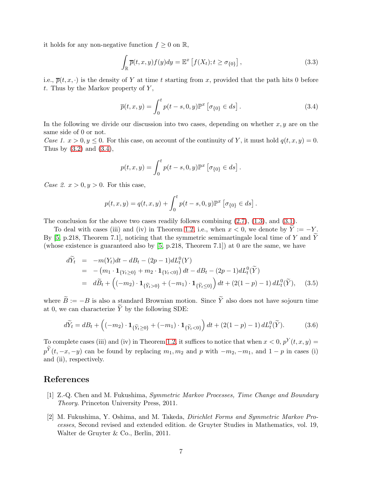it holds for any non-negative function  $f \geq 0$  on  $\mathbb{R}$ ,

$$
\int_{\mathbb{R}} \overline{p}(t, x, y) f(y) dy = \mathbb{E}^x \left[ f(X_t); t \ge \sigma_{\{0\}} \right],
$$
\n(3.3)

i.e.,  $\overline{p}(t, x, \cdot)$  is the density of Y at time t starting from x, provided that the path hits 0 before t. Thus by the Markov property of  $Y$ ,

<span id="page-6-2"></span>
$$
\overline{p}(t, x, y) = \int_0^t p(t - s, 0, y) \mathbb{P}^x \left[ \sigma_{\{0\}} \in ds \right]. \tag{3.4}
$$

In the following we divide our discussion into two cases, depending on whether  $x, y$  are on the same side of 0 or not.

Case 1.  $x > 0, y \le 0$ . For this case, on account of the continuity of Y, it must hold  $q(t, x, y) = 0$ . Thus by  $(3.2)$  and  $(3.4)$ ,

$$
p(t, x, y) = \int_0^t p(t - s, 0, y) \mathbb{P}^x \left[ \sigma_{\{0\}} \in ds \right].
$$

Case 2.  $x > 0, y > 0$ . For this case,

$$
p(t, x, y) = q(t, x, y) + \int_0^t p(t - s, 0, y) \mathbb{P}^x \left[ \sigma_{\{0\}} \in ds \right].
$$

The conclusion for the above two cases readily follows combining  $(2.7)$ ,  $(1.3)$ , and  $(3.1)$ .

To deal with cases (iii) and (iv) in Theorem [1.2,](#page-1-1) i.e., when  $x < 0$ , we denote by  $\overline{Y} := -Y$ . By [\[5,](#page-7-6) p.218, Theorem 7.1], noticing that the symmetric semimartingale local time of Y and  $\widetilde{Y}$ (whose existence is guaranteed also by [\[5,](#page-7-6) p.218, Theorem 7.1]) at 0 are the same, we have

$$
d\widetilde{Y}_t = -m(Y_t)dt - dB_t - (2p - 1)dL_t^0(Y)
$$
  
= 
$$
-(m_1 \cdot \mathbf{1}_{\{Y_t \ge 0\}} + m_2 \cdot \mathbf{1}_{\{Y_t < 0\}}) dt - dB_t - (2p - 1)dL_t^0(\widetilde{Y})
$$
  
= 
$$
d\widetilde{B}_t + \left((-m_2) \cdot \mathbf{1}_{\{\widetilde{Y}_t > 0\}} + (-m_1) \cdot \mathbf{1}_{\{\widetilde{Y}_t \le 0\}}\right) dt + (2(1 - p) - 1) dL_t^0(\widetilde{Y}), \quad (3.5)
$$

where  $\widetilde{B} := -B$  is also a standard Brownian motion. Since  $\widetilde{Y}$  also does not have sojourn time at 0, we can characterize  $\widetilde{Y}$  by the following SDE:

$$
d\widetilde{Y}_t = dB_t + \left( (-m_2) \cdot \mathbf{1}_{\{\widetilde{Y}_t \ge 0\}} + (-m_1) \cdot \mathbf{1}_{\{\widetilde{Y}_t < 0\}} \right) dt + (2(1-p) - 1) dL_t^0(\widetilde{Y}). \tag{3.6}
$$

To complete cases (iii) and (iv) in Theorem [1.2,](#page-1-1) it suffices to notice that when  $x < 0$ ,  $p^{Y}(t, x, y) =$  $p^{\tilde{Y}}(t, -x, -y)$  can be found by replacing  $m_1, m_2$  and p with  $-m_2, -m_1$ , and  $1-p$  in cases (i) and (ii), respectively.

### <span id="page-6-0"></span>References

- [1] Z.-Q. Chen and M. Fukushima, Symmetric Markov Processes, Time Change and Boundary Theory. Princeton University Press, 2011.
- <span id="page-6-1"></span>[2] M. Fukushima, Y. Oshima, and M. Takeda, Dirichlet Forms and Symmetric Markov Processes, Second revised and extended edition. de Gruyter Studies in Mathematics, vol. 19, Walter de Gruyter & Co., Berlin, 2011.